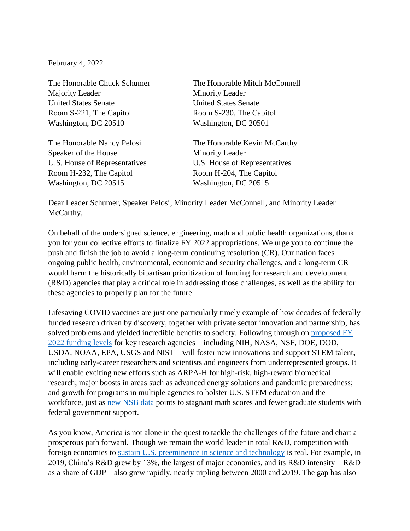February 4, 2022

Majority Leader Minority Leader United States Senate United States Senate Room S-221, The Capitol Room S-230, The Capitol Washington, DC 20510 Washington, DC 20501

Speaker of the House Minority Leader Room H-232, The Capitol Room H-204, The Capitol Washington, DC 20515 Washington, DC 20515

The Honorable Chuck Schumer The Honorable Mitch McConnell

The Honorable Nancy Pelosi The Honorable Kevin McCarthy U.S. House of Representatives U.S. House of Representatives

Dear Leader Schumer, Speaker Pelosi, Minority Leader McConnell, and Minority Leader McCarthy,

On behalf of the undersigned science, engineering, math and public health organizations, thank you for your collective efforts to finalize FY 2022 appropriations. We urge you to continue the push and finish the job to avoid a long-term continuing resolution (CR). Our nation faces ongoing public health, environmental, economic and security challenges, and a long-term CR would harm the historically bipartisan prioritization of funding for research and development (R&D) agencies that play a critical role in addressing those challenges, as well as the ability for these agencies to properly plan for the future.

Lifesaving COVID vaccines are just one particularly timely example of how decades of federally funded research driven by discovery, together with private sector innovation and partnership, has solved problems and yielded incredible benefits to society. Following through on [proposed FY](https://www.aaas.org/sites/default/files/2021-12/AAAS%20House-Senate%20Approps%20FY22%20FINAL.pdf)  [2022 funding levels](https://www.aaas.org/sites/default/files/2021-12/AAAS%20House-Senate%20Approps%20FY22%20FINAL.pdf) for key research agencies – including NIH, NASA, NSF, DOE, DOD, USDA, NOAA, EPA, USGS and NIST – will foster new innovations and support STEM talent, including early-career researchers and scientists and engineers from underrepresented groups. It will enable exciting new efforts such as ARPA-H for high-risk, high-reward biomedical research; major boosts in areas such as advanced energy solutions and pandemic preparedness; and growth for programs in multiple agencies to bolster U.S. STEM education and the workforce, just as [new NSB data](https://ncses.nsf.gov/pubs/nsb20221/preface) points to stagnant math scores and fewer graduate students with federal government support.

As you know, America is not alone in the quest to tackle the challenges of the future and chart a prosperous path forward. Though we remain the world leader in total R&D, competition with foreign economies to [sustain U.S. preeminence in science and technology](https://www.aaas.org/news/some-key-takeaways-nsfs-new-state-science-report) is real. For example, in 2019, China's R&D grew by 13%, the largest of major economies, and its R&D intensity – R&D as a share of GDP – also grew rapidly, nearly tripling between 2000 and 2019. The gap has also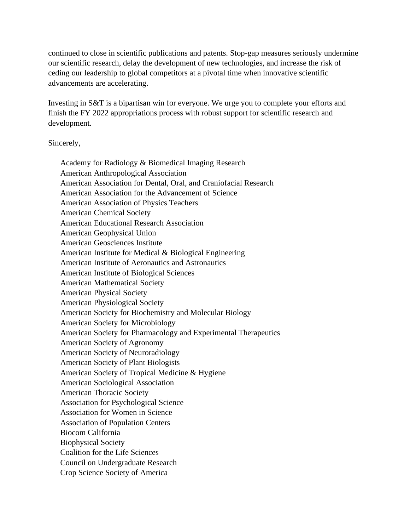continued to close in scientific publications and patents. Stop-gap measures seriously undermine our scientific research, delay the development of new technologies, and increase the risk of ceding our leadership to global competitors at a pivotal time when innovative scientific advancements are accelerating.

Investing in S&T is a bipartisan win for everyone. We urge you to complete your efforts and finish the FY 2022 appropriations process with robust support for scientific research and development.

Sincerely,

Academy for Radiology & Biomedical Imaging Research American Anthropological Association American Association for Dental, Oral, and Craniofacial Research American Association for the Advancement of Science American Association of Physics Teachers American Chemical Society American Educational Research Association American Geophysical Union American Geosciences Institute American Institute for Medical & Biological Engineering American Institute of Aeronautics and Astronautics American Institute of Biological Sciences American Mathematical Society American Physical Society American Physiological Society American Society for Biochemistry and Molecular Biology American Society for Microbiology American Society for Pharmacology and Experimental Therapeutics American Society of Agronomy American Society of Neuroradiology American Society of Plant Biologists American Society of Tropical Medicine & Hygiene American Sociological Association American Thoracic Society Association for Psychological Science Association for Women in Science Association of Population Centers Biocom California Biophysical Society Coalition for the Life Sciences Council on Undergraduate Research Crop Science Society of America